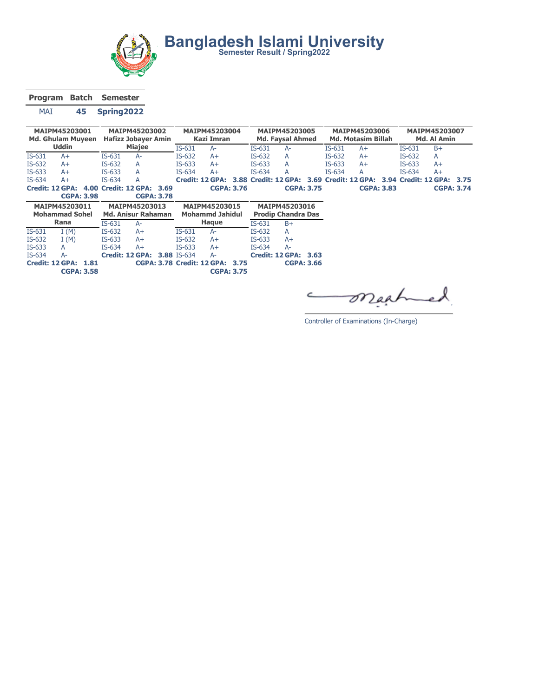

Bangladesh Islami University<br>
Semester Result / Spring2022

Program Batch Semester

MAI 45 Spring2022

| <b>MAIPM45203001</b><br><b>Md. Ghulam Muveen</b> |                        | MAIPM45203002<br><b>Hafizz Jobayer Amin</b> |          |                           | MAIPM45203004<br>Kazi Imran |                    |                                 | <b>MAIPM45203005</b><br><b>Md. Favsal Ahmed</b> |          |                             | MAIPM45203006<br><b>Md. Motasim Billah</b> |          |                 |                   | MAIPM45203007<br>Md. Al Amin |                           |                   |
|--------------------------------------------------|------------------------|---------------------------------------------|----------|---------------------------|-----------------------------|--------------------|---------------------------------|-------------------------------------------------|----------|-----------------------------|--------------------------------------------|----------|-----------------|-------------------|------------------------------|---------------------------|-------------------|
|                                                  | <b>Uddin</b>           |                                             |          | <b>Miajee</b>             |                             | $IS-631$           | $A-$                            |                                                 | $IS-631$ | $A-$                        |                                            | $IS-631$ | $A+$            |                   | $IS-631$                     | $B+$                      |                   |
| $IS-631$                                         | $A+$                   |                                             | $IS-631$ | A-                        |                             | $IS-632$           | $A+$                            |                                                 | $IS-632$ | A                           |                                            | $IS-632$ | $A+$            |                   | $IS-632$                     | A                         |                   |
| $IS-632$                                         | $A+$                   |                                             | IS-632   | А                         |                             | $IS-633$           | $A+$                            |                                                 | $IS-633$ | А                           |                                            | $IS-633$ | $A+$            |                   | $IS-633$                     | $A+$                      |                   |
| $IS-633$                                         | $A+$                   |                                             | $IS-633$ | А                         |                             | $IS-634$           | $A+$                            |                                                 | $IS-634$ | А                           |                                            | $IS-634$ | A               |                   | $IS-634$                     | $A+$                      |                   |
| $IS-634$                                         | $A+$                   |                                             | $IS-634$ | А                         |                             |                    | Credit: 12 GPA:                 |                                                 |          | 3.88 Credit: 12 GPA: 3.69   |                                            |          | Credit: 12 GPA: |                   |                              | 3.94 Credit: 12 GPA: 3.75 |                   |
|                                                  | <b>Credit: 12 GPA:</b> |                                             |          | 4.00 Credit: 12 GPA: 3.69 |                             |                    |                                 | <b>CGPA: 3.76</b>                               |          |                             | <b>CGPA: 3.75</b>                          |          |                 | <b>CGPA: 3.83</b> |                              |                           | <b>CGPA: 3.74</b> |
|                                                  | <b>CGPA: 3.98</b>      |                                             |          | <b>CGPA: 3.78</b>         |                             |                    |                                 |                                                 |          |                             |                                            |          |                 |                   |                              |                           |                   |
|                                                  | MAIPM45203011          |                                             |          | MAIPM45203013             |                             |                    | MAIPM45203015                   |                                                 |          | MAIPM45203016               |                                            |          |                 |                   |                              |                           |                   |
|                                                  | <b>Mohammad Sohel</b>  |                                             |          | <b>Md. Anisur Rahaman</b> |                             |                    | <b>Mohammd Jahidul</b>          |                                                 |          | <b>Prodip Chandra Das</b>   |                                            |          |                 |                   |                              |                           |                   |
|                                                  | Rana                   |                                             | $IS-631$ | $A-$                      |                             |                    | Haque                           |                                                 | $IS-631$ | $B+$                        |                                            |          |                 |                   |                              |                           |                   |
| $IS-631$                                         | I(M)                   |                                             | $IS-632$ | $A+$                      |                             | $IS-631$           | $A-$                            |                                                 | $IS-632$ | А                           |                                            |          |                 |                   |                              |                           |                   |
| IS-632                                           | I(M)                   |                                             | $IS-633$ | $A+$                      |                             | IS-632             | $A+$                            |                                                 | $IS-633$ | $A+$                        |                                            |          |                 |                   |                              |                           |                   |
| $IS-633$                                         | A                      |                                             | $IS-634$ | $A+$                      |                             | $IS-633$           | $A+$                            |                                                 | $IS-634$ | A-                          |                                            |          |                 |                   |                              |                           |                   |
| $IS-634$                                         | A-                     |                                             |          | Credit: 12 GPA:           |                             | <b>3.88 IS-634</b> | A-                              |                                                 |          | <b>Credit: 12 GPA: 3.63</b> |                                            |          |                 |                   |                              |                           |                   |
|                                                  | <b>Credit: 12 GPA:</b> | 1.81                                        |          |                           |                             |                    | CGPA: 3.78 Credit: 12 GPA: 3.75 |                                                 |          |                             | <b>CGPA: 3.66</b>                          |          |                 |                   |                              |                           |                   |
|                                                  | <b>CGPA: 3.58</b>      |                                             |          |                           |                             |                    |                                 | <b>CGPA: 3.75</b>                               |          |                             |                                            |          |                 |                   |                              |                           |                   |
|                                                  |                        |                                             |          |                           |                             |                    |                                 |                                                 |          |                             |                                            |          |                 |                   |                              |                           |                   |

maahe  $\subset$ 

Controller of Examinations (In-Charge)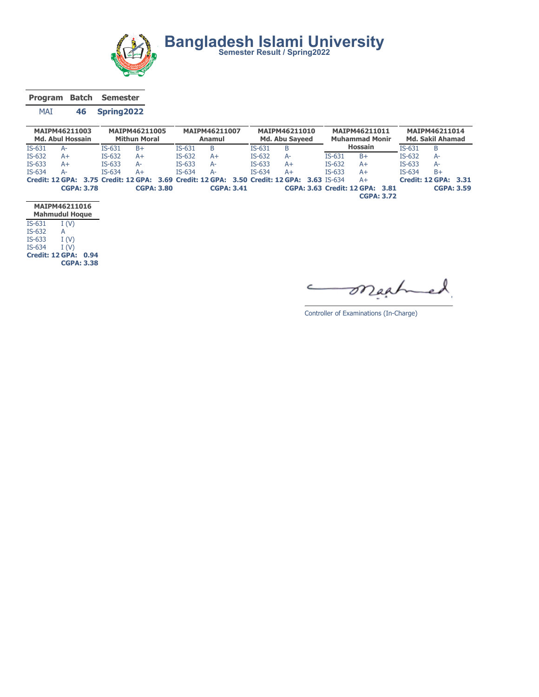

Program Batch Semester

## MAI 46 Spring2022

|          | MAIPM46211003<br><b>Md. Abul Hossain</b> |          | MAIPM46211005<br><b>Mithun Moral</b> |          | MAIPM46211007<br>Anamul |          | MAIPM46211010<br><b>Md. Abu Saveed</b>                                                     |          | MAIPM46211011<br><b>Muhammad Monir</b> |          | MAIPM46211014<br><b>Md. Sakil Ahamad</b> |  |
|----------|------------------------------------------|----------|--------------------------------------|----------|-------------------------|----------|--------------------------------------------------------------------------------------------|----------|----------------------------------------|----------|------------------------------------------|--|
| $IS-631$ | A-                                       | $IS-631$ | $B+$                                 | $IS-631$ | B                       | $IS-631$ | B                                                                                          |          | <b>Hossain</b>                         | $IS-631$ | B                                        |  |
| $IS-632$ | A+                                       | $IS-632$ | A+                                   | $IS-632$ | $A+$                    | $IS-632$ | A-                                                                                         | $IS-631$ | $B+$                                   | IS-632   | $A-$                                     |  |
| $IS-633$ | A+                                       | $IS-633$ | $A-$                                 | $IS-633$ | A-                      | $IS-633$ | A+                                                                                         | $IS-632$ | $A+$                                   | $IS-633$ | $A-$                                     |  |
| $IS-634$ | A-                                       | $IS-634$ | A+                                   | $IS-634$ | $A-$                    | $IS-634$ | A+                                                                                         | $IS-633$ | $A+$                                   | $IS-634$ | $B+$                                     |  |
|          |                                          |          |                                      |          |                         |          | Credit: 12 GPA: 3.75 Credit: 12 GPA: 3.69 Credit: 12 GPA: 3.50 Credit: 12 GPA: 3.63 IS-634 |          | $A+$                                   |          | <b>Credit: 12 GPA: 3.31</b>              |  |
|          | <b>CGPA: 3.78</b>                        |          | <b>CGPA: 3.80</b>                    |          | <b>CGPA: 3.41</b>       |          |                                                                                            |          | CGPA: 3.63 Credit: 12 GPA: 3.81        |          | <b>CGPA: 3.59</b>                        |  |
|          |                                          |          |                                      |          |                         |          |                                                                                            |          | <b>CGPA: 3.72</b>                      |          |                                          |  |

|          | MAIPM46211016<br><b>Mahmudul Hoque</b> |
|----------|----------------------------------------|
| $IS-631$ | I(V)                                   |
| IS-632   | А                                      |
| $IS-633$ | I(V)                                   |
| IS-634   | I(V)                                   |
|          | Credit: 12 GPA:<br>0.94                |
|          | <b>CGPA: 3.38</b>                      |

maat  $\overline{\phantom{a}}$  $\epsilon$ 

Controller of Examinations (In-Charge)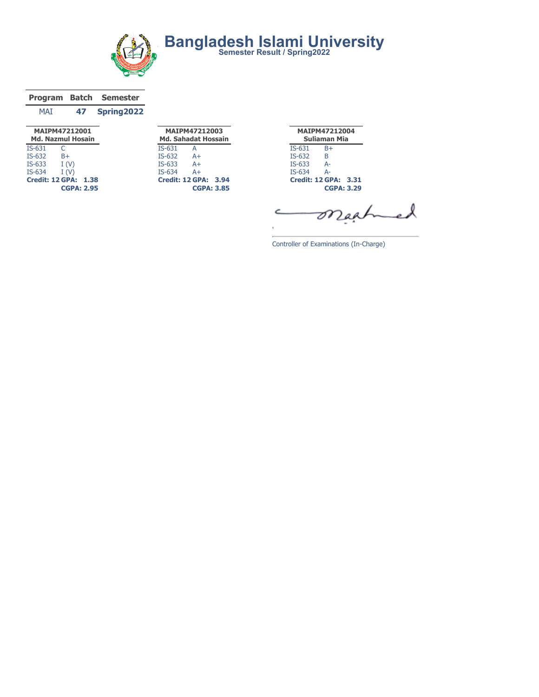

|            |    | Program Batch Semester |
|------------|----|------------------------|
| <b>MAT</b> | 47 | Spring2022             |

|                 | MAIPM47212001<br><b>Md. Nazmul Hosain</b> |      |
|-----------------|-------------------------------------------|------|
| $IS-631$        | C                                         |      |
| IS-632          | $B+$                                      |      |
| $IS-633$        | I(V)                                      |      |
| $IS-634$        | I(V)                                      |      |
| Credit: 12 GPA: |                                           | 1.38 |
|                 | <b>CGPA: 2.95</b>                         |      |

|        | MAIPM47212003              |  |
|--------|----------------------------|--|
|        | <b>Md. Sahadat Hossain</b> |  |
| IS-631 | А                          |  |
| IS-632 | $A+$                       |  |
| IS-633 | $A+$                       |  |
| IS-634 | $A+$                       |  |
|        | Credit: 12 GPA: 3.94       |  |
|        | <b>CGPA: 3.85</b>          |  |

MAIPM47212004 Suliaman Mia IS-631 B+ IS-632 B IS-633 A-IS-634 A-Credit: 12 GPA: 3.31 CGPA: 3.29

Controller of Examinations (In-Charge)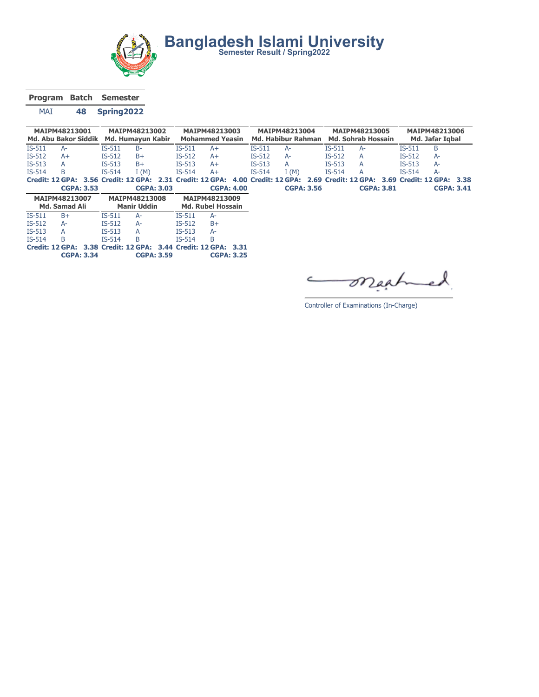

Bangladesh Islami University<br>
Semester Result / Spring2022

Program Batch Semester

MAI 48 Spring2022

|          | MAIPM48213001<br>Md. Abu Bakor Siddik |          | MAIPM48213002<br>Md. Humayun Kabir |          | MAIPM48213003<br><b>Mohammed Yeasin</b> |          | MAIPM48213004<br>Md. Habibur Rahman |          | MAIPM48213005<br><b>Md. Sohrab Hossain</b>                                                                                    |          | MAIPM48213006<br>Md. Jafar Igbal |  |
|----------|---------------------------------------|----------|------------------------------------|----------|-----------------------------------------|----------|-------------------------------------|----------|-------------------------------------------------------------------------------------------------------------------------------|----------|----------------------------------|--|
| IS-511   | $A-$                                  | $IS-511$ | $B -$                              | $IS-511$ | A+                                      | $IS-511$ | $A-$                                | $IS-511$ | $A-$                                                                                                                          | $IS-511$ | B                                |  |
| $IS-512$ | $A+$                                  | $IS-512$ | $B+$                               | $IS-512$ | $A+$                                    | $IS-512$ | $A-$                                | $IS-512$ | A                                                                                                                             | $IS-512$ | $A-$                             |  |
| $IS-513$ | A                                     | $IS-513$ | $B+$                               | $IS-513$ | $A+$                                    | $IS-513$ | A                                   | $IS-513$ | $\overline{A}$                                                                                                                | $IS-513$ | $A-$                             |  |
| $IS-514$ | B                                     | $IS-514$ | (M) T                              | $IS-514$ | $A+$                                    | $IS-514$ | I(M)                                | $IS-514$ | A                                                                                                                             | $IS-514$ | $A-$                             |  |
|          |                                       |          |                                    |          |                                         |          |                                     |          | Credit: 12 GPA: 3.56 Credit: 12 GPA: 2.31 Credit: 12 GPA: 4.00 Credit: 12 GPA: 2.69 Credit: 12 GPA: 3.69 Credit: 12 GPA: 3.38 |          |                                  |  |
|          | <b>CGPA: 3.53</b>                     |          | <b>CGPA: 3.03</b>                  |          | <b>CGPA: 4.00</b>                       |          | <b>CGPA: 3.56</b>                   |          | <b>CGPA: 3.81</b>                                                                                                             |          | <b>CGPA: 3.41</b>                |  |

|          | MAIPM48213007<br>Md. Samad Ali |               | <b>MAIPM48213008</b><br><b>Manir Uddin</b> | MAIPM48213009<br><b>Md. Rubel Hossain</b> |                                                                |  |  |  |
|----------|--------------------------------|---------------|--------------------------------------------|-------------------------------------------|----------------------------------------------------------------|--|--|--|
| $IS-511$ | $B+$                           | $IS-511$      | Д-                                         | $IS-511$                                  | $A-$                                                           |  |  |  |
| $IS-512$ | Д-                             | $IS-512$      | А-                                         | $IS-512$                                  | $B+$                                                           |  |  |  |
| $IS-513$ | А                              | <b>IS-513</b> | А                                          | $IS-513$                                  | A-                                                             |  |  |  |
| $IS-514$ | B                              | $IS-514$      | B                                          | $IS-514$                                  | B                                                              |  |  |  |
|          |                                |               |                                            |                                           | Credit: 12 GPA: 3.38 Credit: 12 GPA: 3.44 Credit: 12 GPA: 3.31 |  |  |  |
|          | <b>CGPA: 3.34</b>              |               | <b>CGPA: 3.59</b>                          |                                           | <b>CGPA: 3.25</b>                                              |  |  |  |

maah  $\subset$ 

Controller of Examinations (In-Charge)